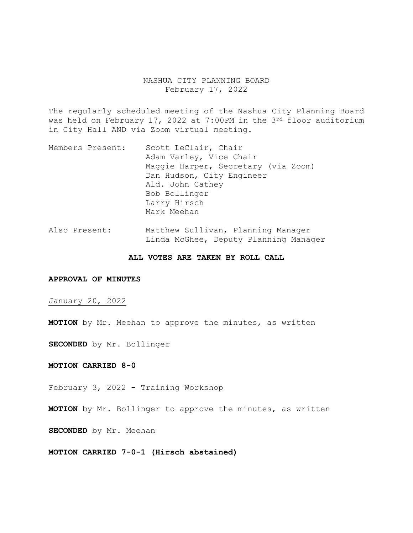## NASHUA CITY PLANNING BOARD February 17, 2022

The regularly scheduled meeting of the Nashua City Planning Board was held on February 17, 2022 at 7:00PM in the 3rd floor auditorium in City Hall AND via Zoom virtual meeting.

- Members Present: Scott LeClair, Chair Adam Varley, Vice Chair Maggie Harper, Secretary (via Zoom) Dan Hudson, City Engineer Ald. John Cathey Bob Bollinger Larry Hirsch Mark Meehan
- Also Present: Matthew Sullivan, Planning Manager Linda McGhee, Deputy Planning Manager

#### **ALL VOTES ARE TAKEN BY ROLL CALL**

#### **APPROVAL OF MINUTES**

January 20, 2022

**MOTION** by Mr. Meehan to approve the minutes, as written

**SECONDED** by Mr. Bollinger

**MOTION CARRIED 8-0** 

February 3, 2022 – Training Workshop

**MOTION** by Mr. Bollinger to approve the minutes, as written

**SECONDED** by Mr. Meehan

**MOTION CARRIED 7-0-1 (Hirsch abstained)**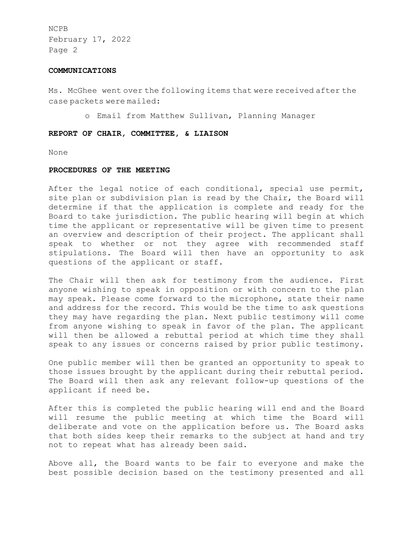#### **COMMUNICATIONS**

Ms. McGhee went over the following items that were received after the case packets were mailed:

o Email from Matthew Sullivan, Planning Manager

### **REPORT OF CHAIR, COMMITTEE, & LIAISON**

None

### **PROCEDURES OF THE MEETING**

After the legal notice of each conditional, special use permit, site plan or subdivision plan is read by the Chair, the Board will determine if that the application is complete and ready for the Board to take jurisdiction. The public hearing will begin at which time the applicant or representative will be given time to present an overview and description of their project. The applicant shall speak to whether or not they agree with recommended staff stipulations. The Board will then have an opportunity to ask questions of the applicant or staff.

The Chair will then ask for testimony from the audience. First anyone wishing to speak in opposition or with concern to the plan may speak. Please come forward to the microphone, state their name and address for the record. This would be the time to ask questions they may have regarding the plan. Next public testimony will come from anyone wishing to speak in favor of the plan. The applicant will then be allowed a rebuttal period at which time they shall speak to any issues or concerns raised by prior public testimony.

One public member will then be granted an opportunity to speak to those issues brought by the applicant during their rebuttal period. The Board will then ask any relevant follow-up questions of the applicant if need be.

After this is completed the public hearing will end and the Board will resume the public meeting at which time the Board will deliberate and vote on the application before us. The Board asks that both sides keep their remarks to the subject at hand and try not to repeat what has already been said.

Above all, the Board wants to be fair to everyone and make the best possible decision based on the testimony presented and all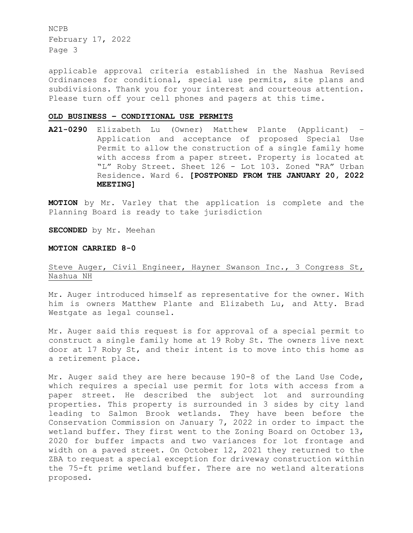applicable approval criteria established in the Nashua Revised Ordinances for conditional, special use permits, site plans and subdivisions. Thank you for your interest and courteous attention. Please turn off your cell phones and pagers at this time.

#### **OLD BUSINESS – CONDITIONAL USE PERMITS**

**A21-0290** Elizabeth Lu (Owner) Matthew Plante (Applicant) – Application and acceptance of proposed Special Use Permit to allow the construction of a single family home with access from a paper street. Property is located at "L" Roby Street. Sheet 126 - Lot 103. Zoned "RA" Urban Residence. Ward 6. **[POSTPONED FROM THE JANUARY 20, 2022 MEETING]** 

**MOTION** by Mr. Varley that the application is complete and the Planning Board is ready to take jurisdiction

**SECONDED** by Mr. Meehan

## **MOTION CARRIED 8-0**

# Steve Auger, Civil Engineer, Hayner Swanson Inc., 3 Congress St, Nashua NH

Mr. Auger introduced himself as representative for the owner. With him is owners Matthew Plante and Elizabeth Lu, and Atty. Brad Westgate as legal counsel.

Mr. Auger said this request is for approval of a special permit to construct a single family home at 19 Roby St. The owners live next door at 17 Roby St, and their intent is to move into this home as a retirement place.

Mr. Auger said they are here because 190-8 of the Land Use Code, which requires a special use permit for lots with access from a paper street. He described the subject lot and surrounding properties. This property is surrounded in 3 sides by city land leading to Salmon Brook wetlands. They have been before the Conservation Commission on January 7, 2022 in order to impact the wetland buffer. They first went to the Zoning Board on October 13, 2020 for buffer impacts and two variances for lot frontage and width on a paved street. On October 12, 2021 they returned to the ZBA to request a special exception for driveway construction within the 75-ft prime wetland buffer. There are no wetland alterations proposed.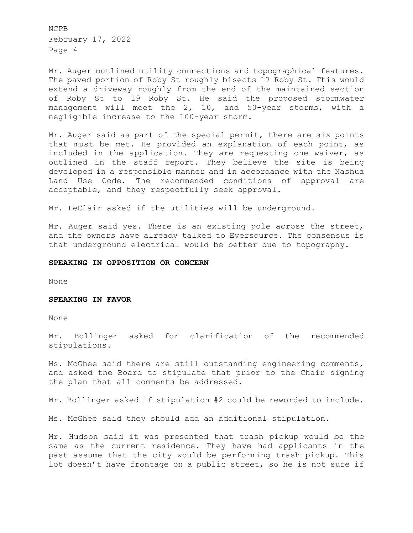Mr. Auger outlined utility connections and topographical features. The paved portion of Roby St roughly bisects 17 Roby St. This would extend a driveway roughly from the end of the maintained section of Roby St to 19 Roby St. He said the proposed stormwater management will meet the 2, 10, and 50-year storms, with a negligible increase to the 100-year storm.

Mr. Auger said as part of the special permit, there are six points that must be met. He provided an explanation of each point, as included in the application. They are requesting one waiver, as outlined in the staff report. They believe the site is being developed in a responsible manner and in accordance with the Nashua Land Use Code. The recommended conditions of approval are acceptable, and they respectfully seek approval.

Mr. LeClair asked if the utilities will be underground.

Mr. Auger said yes. There is an existing pole across the street, and the owners have already talked to Eversource. The consensus is that underground electrical would be better due to topography.

### **SPEAKING IN OPPOSITION OR CONCERN**

None

#### **SPEAKING IN FAVOR**

None

Mr. Bollinger asked for clarification of the recommended stipulations.

Ms. McGhee said there are still outstanding engineering comments, and asked the Board to stipulate that prior to the Chair signing the plan that all comments be addressed.

Mr. Bollinger asked if stipulation #2 could be reworded to include.

Ms. McGhee said they should add an additional stipulation.

Mr. Hudson said it was presented that trash pickup would be the same as the current residence. They have had applicants in the past assume that the city would be performing trash pickup. This lot doesn't have frontage on a public street, so he is not sure if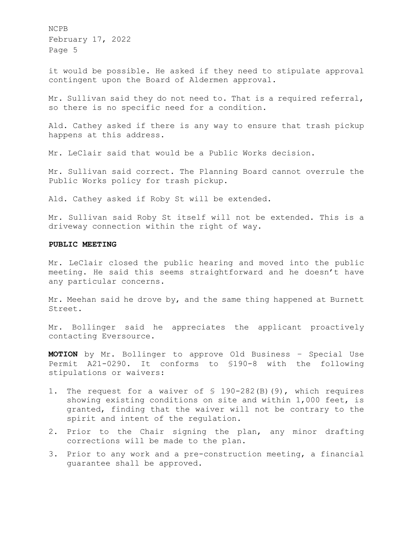it would be possible. He asked if they need to stipulate approval contingent upon the Board of Aldermen approval.

Mr. Sullivan said they do not need to. That is a required referral, so there is no specific need for a condition.

Ald. Cathey asked if there is any way to ensure that trash pickup happens at this address.

Mr. LeClair said that would be a Public Works decision.

Mr. Sullivan said correct. The Planning Board cannot overrule the Public Works policy for trash pickup.

Ald. Cathey asked if Roby St will be extended.

Mr. Sullivan said Roby St itself will not be extended. This is a driveway connection within the right of way.

## **PUBLIC MEETING**

Mr. LeClair closed the public hearing and moved into the public meeting. He said this seems straightforward and he doesn't have any particular concerns.

Mr. Meehan said he drove by, and the same thing happened at Burnett Street.

Mr. Bollinger said he appreciates the applicant proactively contacting Eversource.

**MOTION** by Mr. Bollinger to approve Old Business – Special Use Permit A21-0290. It conforms to §190-8 with the following stipulations or waivers:

- 1. The request for a waiver of § 190-282(B)(9), which requires showing existing conditions on site and within 1,000 feet, is granted, finding that the waiver will not be contrary to the spirit and intent of the regulation.
- 2. Prior to the Chair signing the plan, any minor drafting corrections will be made to the plan.
- 3. Prior to any work and a pre-construction meeting, a financial guarantee shall be approved.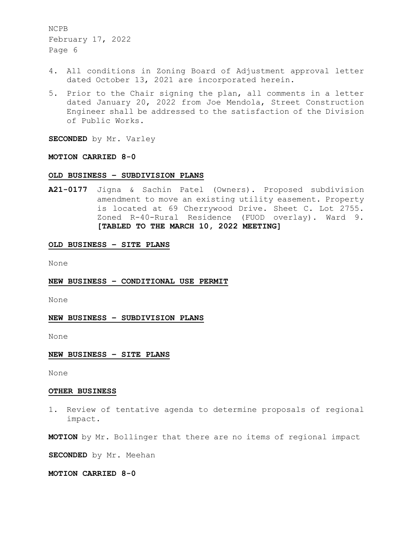- 4. All conditions in Zoning Board of Adjustment approval letter dated October 13, 2021 are incorporated herein.
- 5. Prior to the Chair signing the plan, all comments in a letter dated January 20, 2022 from Joe Mendola, Street Construction Engineer shall be addressed to the satisfaction of the Division of Public Works.

**SECONDED** by Mr. Varley

## **MOTION CARRIED 8-0**

## **OLD BUSINESS – SUBDIVISION PLANS**

**A21-0177** Jigna & Sachin Patel (Owners). Proposed subdivision amendment to move an existing utility easement. Property is located at 69 Cherrywood Drive. Sheet C. Lot 2755. Zoned R-40-Rural Residence (FUOD overlay). Ward 9. **[TABLED TO THE MARCH 10, 2022 MEETING]** 

#### **OLD BUSINESS – SITE PLANS**

None

#### **NEW BUSINESS – CONDITIONAL USE PERMIT**

None

### **NEW BUSINESS – SUBDIVISION PLANS**

None

#### **NEW BUSINESS – SITE PLANS**

None

#### **OTHER BUSINESS**

1. Review of tentative agenda to determine proposals of regional impact.

**MOTION** by Mr. Bollinger that there are no items of regional impact

**SECONDED** by Mr. Meehan

**MOTION CARRIED 8-0**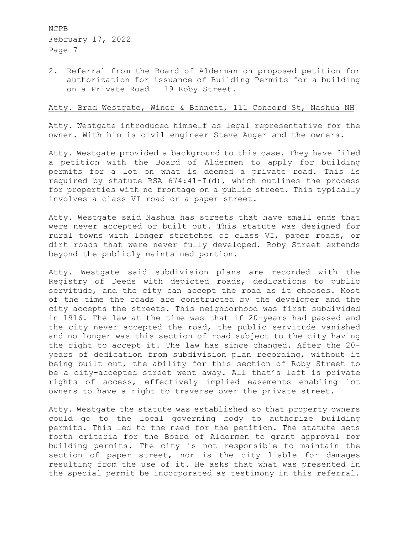2. Referral from the Board of Alderman on proposed petition for authorization for issuance of Building Permits for a building on a Private Road – 19 Roby Street.

## Atty. Brad Westgate, Winer & Bennett, 111 Concord St, Nashua NH

Atty. Westgate introduced himself as legal representative for the owner. With him is civil engineer Steve Auger and the owners.

Atty. Westgate provided a background to this case. They have filed a petition with the Board of Aldermen to apply for building permits for a lot on what is deemed a private road. This is required by statute RSA 674:41-I(d), which outlines the process for properties with no frontage on a public street. This typically involves a class VI road or a paper street.

Atty. Westgate said Nashua has streets that have small ends that were never accepted or built out. This statute was designed for rural towns with longer stretches of class VI, paper roads, or dirt roads that were never fully developed. Roby Street extends beyond the publicly maintained portion.

Atty. Westgate said subdivision plans are recorded with the Registry of Deeds with depicted roads, dedications to public servitude, and the city can accept the road as it chooses. Most of the time the roads are constructed by the developer and the city accepts the streets. This neighborhood was first subdivided in 1916. The law at the time was that if 20-years had passed and the city never accepted the road, the public servitude vanished and no longer was this section of road subject to the city having the right to accept it. The law has since changed. After the 20 years of dedication from subdivision plan recording, without it being built out, the ability for this section of Roby Street to be a city-accepted street went away. All that's left is private rights of access, effectively implied easements enabling lot owners to have a right to traverse over the private street.

Atty. Westgate the statute was established so that property owners could go to the local governing body to authorize building permits. This led to the need for the petition. The statute sets forth criteria for the Board of Aldermen to grant approval for building permits. The city is not responsible to maintain the section of paper street, nor is the city liable for damages resulting from the use of it. He asks that what was presented in the special permit be incorporated as testimony in this referral.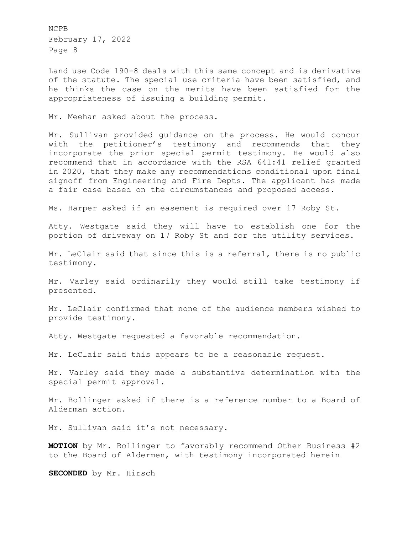Land use Code 190-8 deals with this same concept and is derivative of the statute. The special use criteria have been satisfied, and he thinks the case on the merits have been satisfied for the appropriateness of issuing a building permit.

Mr. Meehan asked about the process.

Mr. Sullivan provided guidance on the process. He would concur with the petitioner's testimony and recommends that they incorporate the prior special permit testimony. He would also recommend that in accordance with the RSA 641:41 relief granted in 2020, that they make any recommendations conditional upon final signoff from Engineering and Fire Depts. The applicant has made a fair case based on the circumstances and proposed access.

Ms. Harper asked if an easement is required over 17 Roby St.

Atty. Westgate said they will have to establish one for the portion of driveway on 17 Roby St and for the utility services.

Mr. LeClair said that since this is a referral, there is no public testimony.

Mr. Varley said ordinarily they would still take testimony if presented.

Mr. LeClair confirmed that none of the audience members wished to provide testimony.

Atty. Westgate requested a favorable recommendation.

Mr. LeClair said this appears to be a reasonable request.

Mr. Varley said they made a substantive determination with the special permit approval.

Mr. Bollinger asked if there is a reference number to a Board of Alderman action.

Mr. Sullivan said it's not necessary.

**MOTION** by Mr. Bollinger to favorably recommend Other Business #2 to the Board of Aldermen, with testimony incorporated herein

**SECONDED** by Mr. Hirsch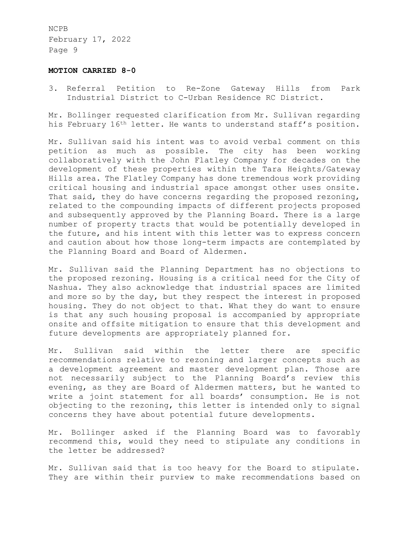#### **MOTION CARRIED 8-0**

3. Referral Petition to Re-Zone Gateway Hills from Park Industrial District to C-Urban Residence RC District.

Mr. Bollinger requested clarification from Mr. Sullivan regarding his February 16<sup>th</sup> letter. He wants to understand staff's position.

Mr. Sullivan said his intent was to avoid verbal comment on this petition as much as possible. The city has been working collaboratively with the John Flatley Company for decades on the development of these properties within the Tara Heights/Gateway Hills area. The Flatley Company has done tremendous work providing critical housing and industrial space amongst other uses onsite. That said, they do have concerns regarding the proposed rezoning, related to the compounding impacts of different projects proposed and subsequently approved by the Planning Board. There is a large number of property tracts that would be potentially developed in the future, and his intent with this letter was to express concern and caution about how those long-term impacts are contemplated by the Planning Board and Board of Aldermen.

Mr. Sullivan said the Planning Department has no objections to the proposed rezoning. Housing is a critical need for the City of Nashua. They also acknowledge that industrial spaces are limited and more so by the day, but they respect the interest in proposed housing. They do not object to that. What they do want to ensure is that any such housing proposal is accompanied by appropriate onsite and offsite mitigation to ensure that this development and future developments are appropriately planned for.

Mr. Sullivan said within the letter there are specific recommendations relative to rezoning and larger concepts such as a development agreement and master development plan. Those are not necessarily subject to the Planning Board's review this evening, as they are Board of Aldermen matters, but he wanted to write a joint statement for all boards' consumption. He is not objecting to the rezoning, this letter is intended only to signal concerns they have about potential future developments.

Mr. Bollinger asked if the Planning Board was to favorably recommend this, would they need to stipulate any conditions in the letter be addressed?

Mr. Sullivan said that is too heavy for the Board to stipulate. They are within their purview to make recommendations based on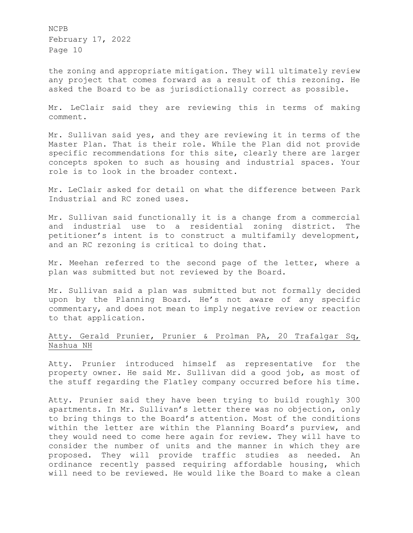the zoning and appropriate mitigation. They will ultimately review any project that comes forward as a result of this rezoning. He asked the Board to be as jurisdictionally correct as possible.

Mr. LeClair said they are reviewing this in terms of making comment.

Mr. Sullivan said yes, and they are reviewing it in terms of the Master Plan. That is their role. While the Plan did not provide specific recommendations for this site, clearly there are larger concepts spoken to such as housing and industrial spaces. Your role is to look in the broader context.

Mr. LeClair asked for detail on what the difference between Park Industrial and RC zoned uses.

Mr. Sullivan said functionally it is a change from a commercial and industrial use to a residential zoning district. The petitioner's intent is to construct a multifamily development, and an RC rezoning is critical to doing that.

Mr. Meehan referred to the second page of the letter, where a plan was submitted but not reviewed by the Board.

Mr. Sullivan said a plan was submitted but not formally decided upon by the Planning Board. He's not aware of any specific commentary, and does not mean to imply negative review or reaction to that application.

# Atty. Gerald Prunier, Prunier & Prolman PA, 20 Trafalgar Sq, Nashua NH

Atty. Prunier introduced himself as representative for the property owner. He said Mr. Sullivan did a good job, as most of the stuff regarding the Flatley company occurred before his time.

Atty. Prunier said they have been trying to build roughly 300 apartments. In Mr. Sullivan's letter there was no objection, only to bring things to the Board's attention. Most of the conditions within the letter are within the Planning Board's purview, and they would need to come here again for review. They will have to consider the number of units and the manner in which they are proposed. They will provide traffic studies as needed. An ordinance recently passed requiring affordable housing, which will need to be reviewed. He would like the Board to make a clean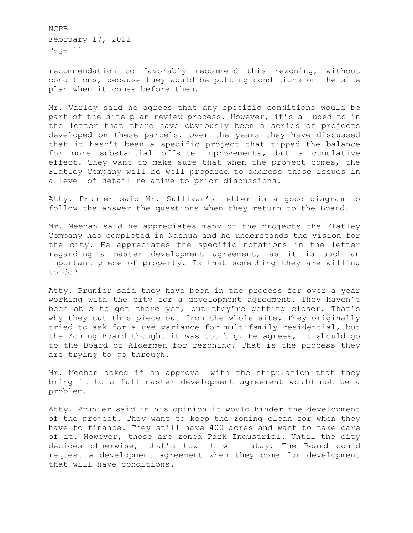recommendation to favorably recommend this rezoning, without conditions, because they would be putting conditions on the site plan when it comes before them.

Mr. Varley said he agrees that any specific conditions would be part of the site plan review process. However, it's alluded to in the letter that there have obviously been a series of projects developed on these parcels. Over the years they have discussed that it hasn't been a specific project that tipped the balance for more substantial offsite improvements, but a cumulative effect. They want to make sure that when the project comes, the Flatley Company will be well prepared to address those issues in a level of detail relative to prior discussions.

Atty. Prunier said Mr. Sullivan's letter is a good diagram to follow the answer the questions when they return to the Board.

Mr. Meehan said he appreciates many of the projects the Flatley Company has completed in Nashua and he understands the vision for the city. He appreciates the specific notations in the letter regarding a master development agreement, as it is such an important piece of property. Is that something they are willing to do?

Atty. Prunier said they have been in the process for over a year working with the city for a development agreement. They haven't been able to get there yet, but they're getting closer. That's why they cut this piece out from the whole site. They originally tried to ask for a use variance for multifamily residential, but the Zoning Board thought it was too big. He agrees, it should go to the Board of Aldermen for rezoning. That is the process they are trying to go through.

Mr. Meehan asked if an approval with the stipulation that they bring it to a full master development agreement would not be a problem.

Atty. Prunier said in his opinion it would hinder the development of the project. They want to keep the zoning clean for when they have to finance. They still have 400 acres and want to take care of it. However, those are zoned Park Industrial. Until the city decides otherwise, that's how it will stay. The Board could request a development agreement when they come for development that will have conditions.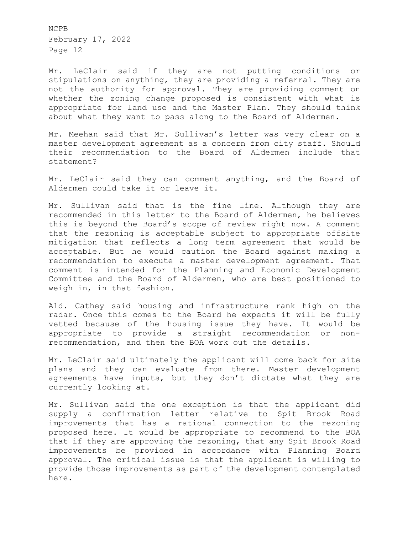Mr. LeClair said if they are not putting conditions or stipulations on anything, they are providing a referral. They are not the authority for approval. They are providing comment on whether the zoning change proposed is consistent with what is appropriate for land use and the Master Plan. They should think about what they want to pass along to the Board of Aldermen.

Mr. Meehan said that Mr. Sullivan's letter was very clear on a master development agreement as a concern from city staff. Should their recommendation to the Board of Aldermen include that statement?

Mr. LeClair said they can comment anything, and the Board of Aldermen could take it or leave it.

Mr. Sullivan said that is the fine line. Although they are recommended in this letter to the Board of Aldermen, he believes this is beyond the Board's scope of review right now. A comment that the rezoning is acceptable subject to appropriate offsite mitigation that reflects a long term agreement that would be acceptable. But he would caution the Board against making a recommendation to execute a master development agreement. That comment is intended for the Planning and Economic Development Committee and the Board of Aldermen, who are best positioned to weigh in, in that fashion.

Ald. Cathey said housing and infrastructure rank high on the radar. Once this comes to the Board he expects it will be fully vetted because of the housing issue they have. It would be appropriate to provide a straight recommendation or nonrecommendation, and then the BOA work out the details.

Mr. LeClair said ultimately the applicant will come back for site plans and they can evaluate from there. Master development agreements have inputs, but they don't dictate what they are currently looking at.

Mr. Sullivan said the one exception is that the applicant did supply a confirmation letter relative to Spit Brook Road improvements that has a rational connection to the rezoning proposed here. It would be appropriate to recommend to the BOA that if they are approving the rezoning, that any Spit Brook Road improvements be provided in accordance with Planning Board approval. The critical issue is that the applicant is willing to provide those improvements as part of the development contemplated here.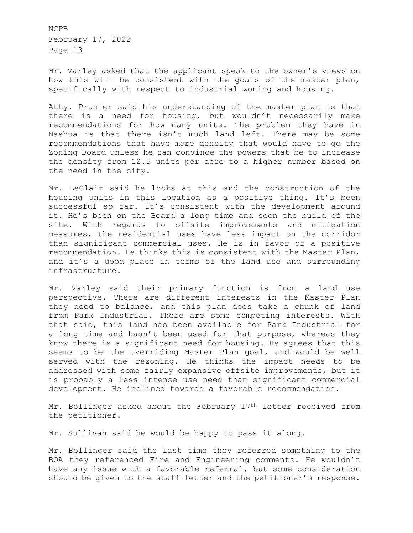Mr. Varley asked that the applicant speak to the owner's views on how this will be consistent with the goals of the master plan, specifically with respect to industrial zoning and housing.

Atty. Prunier said his understanding of the master plan is that there is a need for housing, but wouldn't necessarily make recommendations for how many units. The problem they have in Nashua is that there isn't much land left. There may be some recommendations that have more density that would have to go the Zoning Board unless he can convince the powers that be to increase the density from 12.5 units per acre to a higher number based on the need in the city.

Mr. LeClair said he looks at this and the construction of the housing units in this location as a positive thing. It's been successful so far. It's consistent with the development around it. He's been on the Board a long time and seen the build of the site. With regards to offsite improvements and mitigation measures, the residential uses have less impact on the corridor than significant commercial uses. He is in favor of a positive recommendation. He thinks this is consistent with the Master Plan, and it's a good place in terms of the land use and surrounding infrastructure.

Mr. Varley said their primary function is from a land use perspective. There are different interests in the Master Plan they need to balance, and this plan does take a chunk of land from Park Industrial. There are some competing interests. With that said, this land has been available for Park Industrial for a long time and hasn't been used for that purpose, whereas they know there is a significant need for housing. He agrees that this seems to be the overriding Master Plan goal, and would be well served with the rezoning. He thinks the impact needs to be addressed with some fairly expansive offsite improvements, but it is probably a less intense use need than significant commercial development. He inclined towards a favorable recommendation.

Mr. Bollinger asked about the February 17th letter received from the petitioner.

Mr. Sullivan said he would be happy to pass it along.

Mr. Bollinger said the last time they referred something to the BOA they referenced Fire and Engineering comments. He wouldn't have any issue with a favorable referral, but some consideration should be given to the staff letter and the petitioner's response.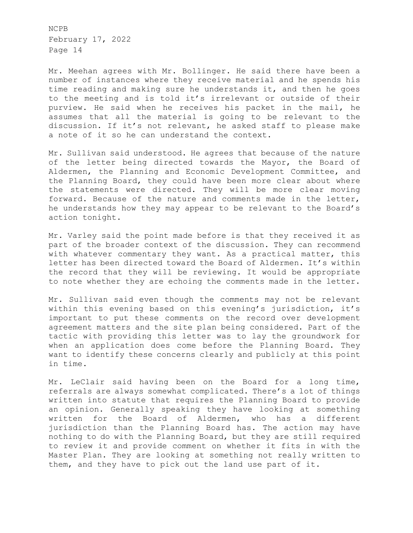Mr. Meehan agrees with Mr. Bollinger. He said there have been a number of instances where they receive material and he spends his time reading and making sure he understands it, and then he goes to the meeting and is told it's irrelevant or outside of their purview. He said when he receives his packet in the mail, he assumes that all the material is going to be relevant to the discussion. If it's not relevant, he asked staff to please make a note of it so he can understand the context.

Mr. Sullivan said understood. He agrees that because of the nature of the letter being directed towards the Mayor, the Board of Aldermen, the Planning and Economic Development Committee, and the Planning Board, they could have been more clear about where the statements were directed. They will be more clear moving forward. Because of the nature and comments made in the letter, he understands how they may appear to be relevant to the Board's action tonight.

Mr. Varley said the point made before is that they received it as part of the broader context of the discussion. They can recommend with whatever commentary they want. As a practical matter, this letter has been directed toward the Board of Aldermen. It's within the record that they will be reviewing. It would be appropriate to note whether they are echoing the comments made in the letter.

Mr. Sullivan said even though the comments may not be relevant within this evening based on this evening's jurisdiction, it's important to put these comments on the record over development agreement matters and the site plan being considered. Part of the tactic with providing this letter was to lay the groundwork for when an application does come before the Planning Board. They want to identify these concerns clearly and publicly at this point in time.

Mr. LeClair said having been on the Board for a long time, referrals are always somewhat complicated. There's a lot of things written into statute that requires the Planning Board to provide an opinion. Generally speaking they have looking at something written for the Board of Aldermen, who has a different jurisdiction than the Planning Board has. The action may have nothing to do with the Planning Board, but they are still required to review it and provide comment on whether it fits in with the Master Plan. They are looking at something not really written to them, and they have to pick out the land use part of it.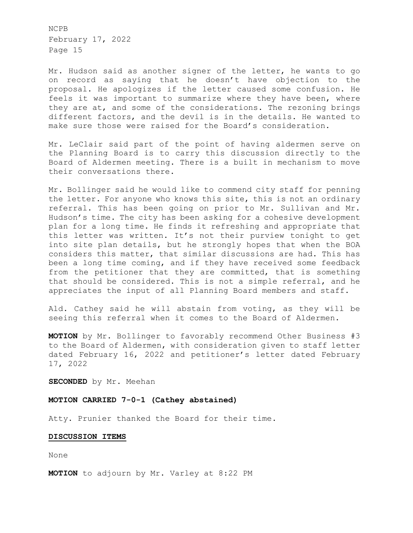Mr. Hudson said as another signer of the letter, he wants to go on record as saying that he doesn't have objection to the proposal. He apologizes if the letter caused some confusion. He feels it was important to summarize where they have been, where they are at, and some of the considerations. The rezoning brings different factors, and the devil is in the details. He wanted to make sure those were raised for the Board's consideration.

Mr. LeClair said part of the point of having aldermen serve on the Planning Board is to carry this discussion directly to the Board of Aldermen meeting. There is a built in mechanism to move their conversations there.

Mr. Bollinger said he would like to commend city staff for penning the letter. For anyone who knows this site, this is not an ordinary referral. This has been going on prior to Mr. Sullivan and Mr. Hudson's time. The city has been asking for a cohesive development plan for a long time. He finds it refreshing and appropriate that this letter was written. It's not their purview tonight to get into site plan details, but he strongly hopes that when the BOA considers this matter, that similar discussions are had. This has been a long time coming, and if they have received some feedback from the petitioner that they are committed, that is something that should be considered. This is not a simple referral, and he appreciates the input of all Planning Board members and staff.

Ald. Cathey said he will abstain from voting, as they will be seeing this referral when it comes to the Board of Aldermen.

**MOTION** by Mr. Bollinger to favorably recommend Other Business #3 to the Board of Aldermen, with consideration given to staff letter dated February 16, 2022 and petitioner's letter dated February 17, 2022

**SECONDED** by Mr. Meehan

### **MOTION CARRIED 7-0-1 (Cathey abstained)**

Atty. Prunier thanked the Board for their time.

#### **DISCUSSION ITEMS**

None

**MOTION** to adjourn by Mr. Varley at 8:22 PM